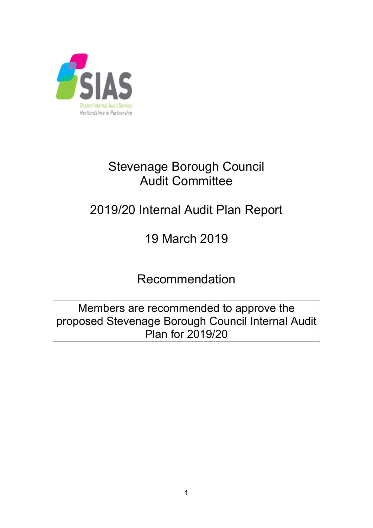

# Stevenage Borough Council Audit Committee

# 2019/20 Internal Audit Plan Report

# 19 March 2019

Recommendation

Members are recommended to approve the proposed Stevenage Borough Council Internal Audit Plan for 2019/20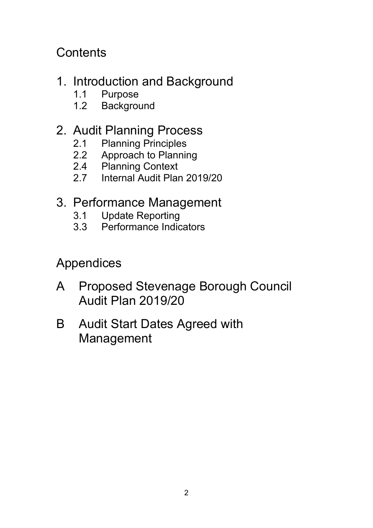**Contents** 

- 1. Introduction and Background
	- 1.1 Purpose
	- 1.2 Background

## 2. Audit Planning Process

- 2.1 Planning Principles
- 2.2 Approach to Planning
- 2.4 Planning Context
- 2.7 Internal Audit Plan 2019/20
- 3. Performance Management
	- 3.1 Update Reporting
	- 3.3 Performance Indicators

Appendices

- A Proposed Stevenage Borough Council Audit Plan 2019/20
- B Audit Start Dates Agreed with Management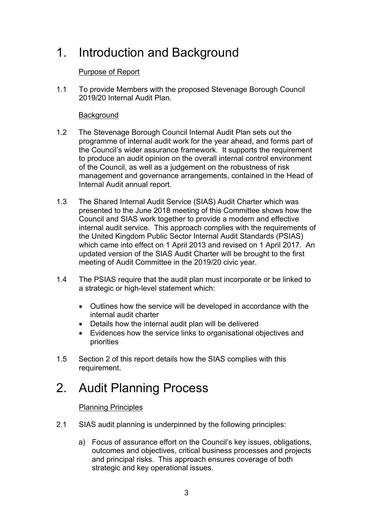# 1. Introduction and Background

### Purpose of Report

1.1 To provide Members with the proposed Stevenage Borough Council 2019/20 Internal Audit Plan.

### **Background**

- 1.2 The Stevenage Borough Council Internal Audit Plan sets out the programme of internal audit work for the year ahead, and forms part of the Council's wider assurance framework. It supports the requirement to produce an audit opinion on the overall internal control environment of the Council, as well as a judgement on the robustness of risk management and governance arrangements, contained in the Head of Internal Audit annual report.
- 1.3 The Shared Internal Audit Service (SIAS) Audit Charter which was presented to the June 2018 meeting of this Committee shows how the Council and SIAS work together to provide a modern and effective internal audit service. This approach complies with the requirements of the United Kingdom Public Sector Internal Audit Standards (PSIAS) which came into effect on 1 April 2013 and revised on 1 April 2017. An updated version of the SIAS Audit Charter will be brought to the first meeting of Audit Committee in the 2019/20 civic year.
- 1.4 The PSIAS require that the audit plan must incorporate or be linked to a strategic or high-level statement which:
	- Outlines how the service will be developed in accordance with the internal audit charter
	- Details how the internal audit plan will be delivered
	- Evidences how the service links to organisational objectives and priorities
- 1.5 Section 2 of this report details how the SIAS complies with this requirement.

## 2. Audit Planning Process

### Planning Principles

- 2.1 SIAS audit planning is underpinned by the following principles:
	- a) Focus of assurance effort on the Council's key issues, obligations, outcomes and objectives, critical business processes and projects and principal risks. This approach ensures coverage of both strategic and key operational issues.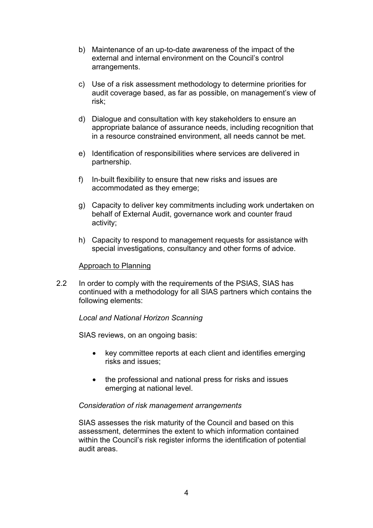- b) Maintenance of an up-to-date awareness of the impact of the external and internal environment on the Council's control arrangements.
- c) Use of a risk assessment methodology to determine priorities for audit coverage based, as far as possible, on management's view of risk;
- d) Dialogue and consultation with key stakeholders to ensure an appropriate balance of assurance needs, including recognition that in a resource constrained environment, all needs cannot be met.
- e) Identification of responsibilities where services are delivered in partnership.
- f) In-built flexibility to ensure that new risks and issues are accommodated as they emerge;
- g) Capacity to deliver key commitments including work undertaken on behalf of External Audit, governance work and counter fraud activity;
- h) Capacity to respond to management requests for assistance with special investigations, consultancy and other forms of advice.

#### Approach to Planning

2.2 In order to comply with the requirements of the PSIAS, SIAS has continued with a methodology for all SIAS partners which contains the following elements:

### *Local and National Horizon Scanning*

SIAS reviews, on an ongoing basis:

- key committee reports at each client and identifies emerging risks and issues;
- the professional and national press for risks and issues emerging at national level.

### *Consideration of risk management arrangements*

SIAS assesses the risk maturity of the Council and based on this assessment, determines the extent to which information contained within the Council's risk register informs the identification of potential audit areas.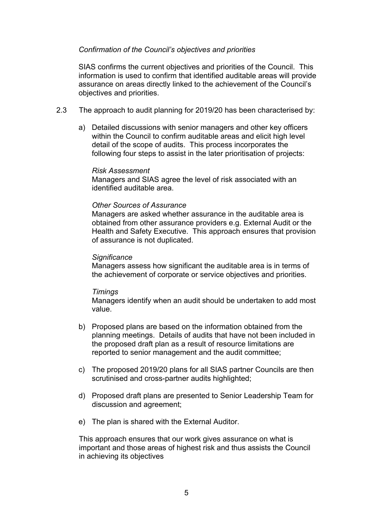### *Confirmation of the Council's objectives and priorities*

SIAS confirms the current objectives and priorities of the Council. This information is used to confirm that identified auditable areas will provide assurance on areas directly linked to the achievement of the Council's objectives and priorities.

- 2.3 The approach to audit planning for 2019/20 has been characterised by:
	- a) Detailed discussions with senior managers and other key officers within the Council to confirm auditable areas and elicit high level detail of the scope of audits. This process incorporates the following four steps to assist in the later prioritisation of projects:

#### *Risk Assessment*

Managers and SIAS agree the level of risk associated with an identified auditable area.

#### *Other Sources of Assurance*

Managers are asked whether assurance in the auditable area is obtained from other assurance providers e.g. External Audit or the Health and Safety Executive. This approach ensures that provision of assurance is not duplicated.

#### *Significance*

Managers assess how significant the auditable area is in terms of the achievement of corporate or service objectives and priorities.

#### *Timings*

Managers identify when an audit should be undertaken to add most value.

- b) Proposed plans are based on the information obtained from the planning meetings. Details of audits that have not been included in the proposed draft plan as a result of resource limitations are reported to senior management and the audit committee;
- c) The proposed 2019/20 plans for all SIAS partner Councils are then scrutinised and cross-partner audits highlighted;
- d) Proposed draft plans are presented to Senior Leadership Team for discussion and agreement;
- e) The plan is shared with the External Auditor.

This approach ensures that our work gives assurance on what is important and those areas of highest risk and thus assists the Council in achieving its objectives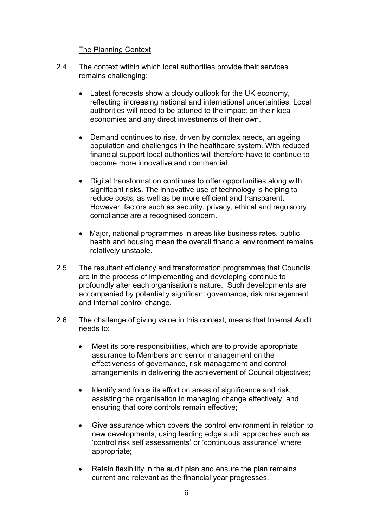### The Planning Context

- 2.4 The context within which local authorities provide their services remains challenging:
	- Latest forecasts show a cloudy outlook for the UK economy, reflecting increasing national and international uncertainties. Local authorities will need to be attuned to the impact on their local economies and any direct investments of their own.
	- Demand continues to rise, driven by complex needs, an ageing population and challenges in the healthcare system. With reduced financial support local authorities will therefore have to continue to become more innovative and commercial.
	- Digital transformation continues to offer opportunities along with significant risks. The innovative use of technology is helping to reduce costs, as well as be more efficient and transparent. However, factors such as security, privacy, ethical and regulatory compliance are a recognised concern.
	- Major, national programmes in areas like business rates, public health and housing mean the overall financial environment remains relatively unstable.
- 2.5 The resultant efficiency and transformation programmes that Councils are in the process of implementing and developing continue to profoundly alter each organisation's nature. Such developments are accompanied by potentially significant governance, risk management and internal control change.
- 2.6 The challenge of giving value in this context, means that Internal Audit needs to:
	- Meet its core responsibilities, which are to provide appropriate assurance to Members and senior management on the effectiveness of governance, risk management and control arrangements in delivering the achievement of Council objectives;
	- Identify and focus its effort on areas of significance and risk, assisting the organisation in managing change effectively, and ensuring that core controls remain effective;
	- Give assurance which covers the control environment in relation to new developments, using leading edge audit approaches such as 'control risk self assessments' or 'continuous assurance' where appropriate;
	- Retain flexibility in the audit plan and ensure the plan remains current and relevant as the financial year progresses.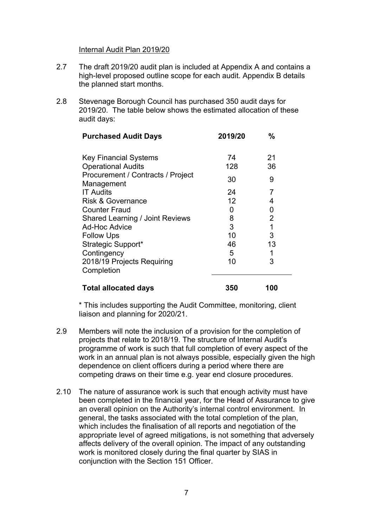#### Internal Audit Plan 2019/20

- 2.7 The draft 2019/20 audit plan is included at Appendix A and contains a high-level proposed outline scope for each audit. Appendix B details the planned start months.
- 2.8 Stevenage Borough Council has purchased 350 audit days for 2019/20. The table below shows the estimated allocation of these audit days:

| <b>Purchased Audit Days</b>                     | 2019/20 | $\frac{0}{0}$  |
|-------------------------------------------------|---------|----------------|
| <b>Key Financial Systems</b>                    | 74      | 21             |
| <b>Operational Audits</b>                       | 128     | 36             |
| Procurement / Contracts / Project<br>Management | 30      | 9              |
| <b>IT Audits</b>                                | 24      | 7              |
| <b>Risk &amp; Governance</b>                    | 12      | 4              |
| <b>Counter Fraud</b>                            | 0       | 0              |
| <b>Shared Learning / Joint Reviews</b>          | 8       | $\overline{2}$ |
| <b>Ad-Hoc Advice</b>                            | 3       | 1              |
| <b>Follow Ups</b>                               | 10      | 3              |
| Strategic Support*                              | 46      | 13             |
| Contingency                                     | 5       |                |
| 2018/19 Projects Requiring<br>Completion        | 10      | 3              |
| <b>Total allocated days</b>                     | 350     | 100            |

\* This includes supporting the Audit Committee, monitoring, client liaison and planning for 2020/21.

- 2.9 Members will note the inclusion of a provision for the completion of projects that relate to 2018/19. The structure of Internal Audit's programme of work is such that full completion of every aspect of the work in an annual plan is not always possible, especially given the high dependence on client officers during a period where there are competing draws on their time e.g. year end closure procedures.
- 2.10 The nature of assurance work is such that enough activity must have been completed in the financial year, for the Head of Assurance to give an overall opinion on the Authority's internal control environment. In general, the tasks associated with the total completion of the plan, which includes the finalisation of all reports and negotiation of the appropriate level of agreed mitigations, is not something that adversely affects delivery of the overall opinion. The impact of any outstanding work is monitored closely during the final quarter by SIAS in conjunction with the Section 151 Officer.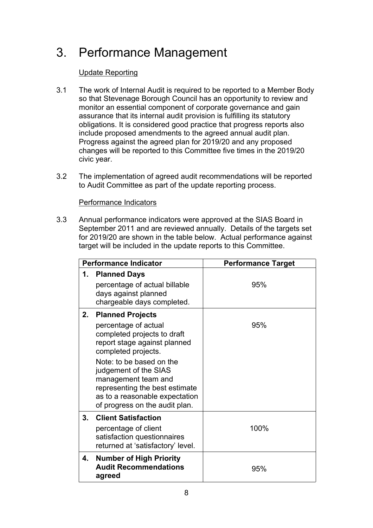# 3. Performance Management

## Update Reporting

- 3.1 The work of Internal Audit is required to be reported to a Member Body so that Stevenage Borough Council has an opportunity to review and monitor an essential component of corporate governance and gain assurance that its internal audit provision is fulfilling its statutory obligations. It is considered good practice that progress reports also include proposed amendments to the agreed annual audit plan. Progress against the agreed plan for 2019/20 and any proposed changes will be reported to this Committee five times in the 2019/20 civic year.
- 3.2 The implementation of agreed audit recommendations will be reported to Audit Committee as part of the update reporting process.

### Performance Indicators

3.3 Annual performance indicators were approved at the SIAS Board in September 2011 and are reviewed annually. Details of the targets set for 2019/20 are shown in the table below. Actual performance against target will be included in the update reports to this Committee.

|    | <b>Performance Indicator</b>                                                                                                          | <b>Performance Target</b> |  |
|----|---------------------------------------------------------------------------------------------------------------------------------------|---------------------------|--|
| 1. | <b>Planned Days</b><br>percentage of actual billable<br>days against planned<br>chargeable days completed.                            | 95%                       |  |
| 2. | <b>Planned Projects</b><br>percentage of actual<br>completed projects to draft<br>report stage against planned<br>completed projects. | 95%                       |  |
|    | Note: to be based on the<br>judgement of the SIAS<br>management team and<br>representing the best estimate                            |                           |  |
|    | as to a reasonable expectation<br>of progress on the audit plan.                                                                      |                           |  |
| 3. | <b>Client Satisfaction</b><br>percentage of client<br>satisfaction questionnaires<br>returned at 'satisfactory' level.                | 100%                      |  |
| 4. | <b>Number of High Priority</b><br><b>Audit Recommendations</b><br>agreed                                                              | 95%                       |  |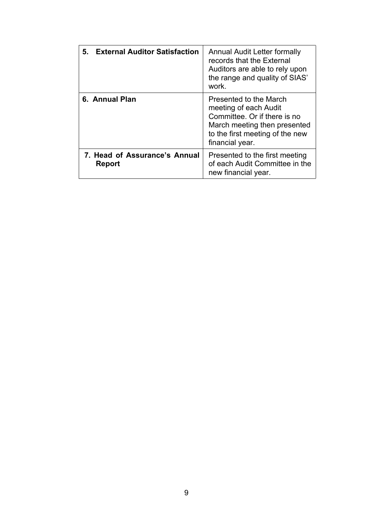| 5.<br><b>External Auditor Satisfaction</b>     | Annual Audit Letter formally<br>records that the External<br>Auditors are able to rely upon<br>the range and quality of SIAS'<br>work.                                |
|------------------------------------------------|-----------------------------------------------------------------------------------------------------------------------------------------------------------------------|
| 6. Annual Plan                                 | Presented to the March<br>meeting of each Audit<br>Committee. Or if there is no<br>March meeting then presented<br>to the first meeting of the new<br>financial year. |
| 7. Head of Assurance's Annual<br><b>Report</b> | Presented to the first meeting<br>of each Audit Committee in the<br>new financial year.                                                                               |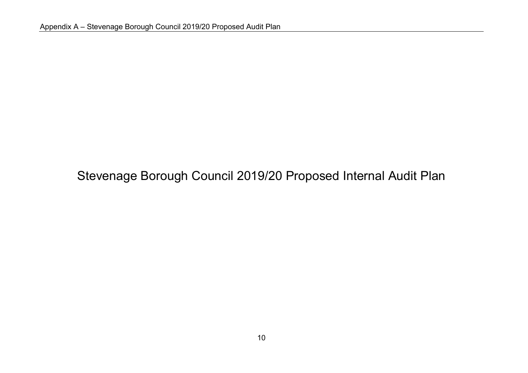# Stevenage Borough Council 2019/20 Proposed Internal Audit Plan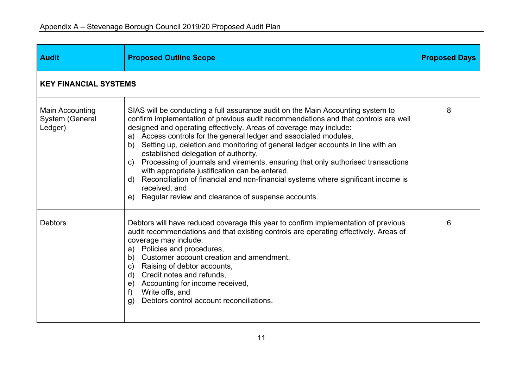| <b>Audit</b>                                         | <b>Proposed Outline Scope</b>                                                                                                                                                                                                                                                                                                                                                                                                                                                                                                                                                                                                                                                                                                                                | <b>Proposed Days</b> |
|------------------------------------------------------|--------------------------------------------------------------------------------------------------------------------------------------------------------------------------------------------------------------------------------------------------------------------------------------------------------------------------------------------------------------------------------------------------------------------------------------------------------------------------------------------------------------------------------------------------------------------------------------------------------------------------------------------------------------------------------------------------------------------------------------------------------------|----------------------|
| <b>KEY FINANCIAL SYSTEMS</b>                         |                                                                                                                                                                                                                                                                                                                                                                                                                                                                                                                                                                                                                                                                                                                                                              |                      |
| Main Accounting<br><b>System (General</b><br>Ledger) | SIAS will be conducting a full assurance audit on the Main Accounting system to<br>confirm implementation of previous audit recommendations and that controls are well<br>designed and operating effectively. Areas of coverage may include:<br>a) Access controls for the general ledger and associated modules,<br>b) Setting up, deletion and monitoring of general ledger accounts in line with an<br>established delegation of authority,<br>c) Processing of journals and virements, ensuring that only authorised transactions<br>with appropriate justification can be entered,<br>Reconciliation of financial and non-financial systems where significant income is<br>d)<br>received, and<br>e) Regular review and clearance of suspense accounts. | 8                    |
| <b>Debtors</b>                                       | Debtors will have reduced coverage this year to confirm implementation of previous<br>audit recommendations and that existing controls are operating effectively. Areas of<br>coverage may include:<br>a) Policies and procedures,<br>Customer account creation and amendment,<br>b)<br>c) Raising of debtor accounts,<br>d) Credit notes and refunds,<br>e) Accounting for income received,<br>Write offs, and<br>f<br>Debtors control account reconciliations.<br>g)                                                                                                                                                                                                                                                                                       | 6                    |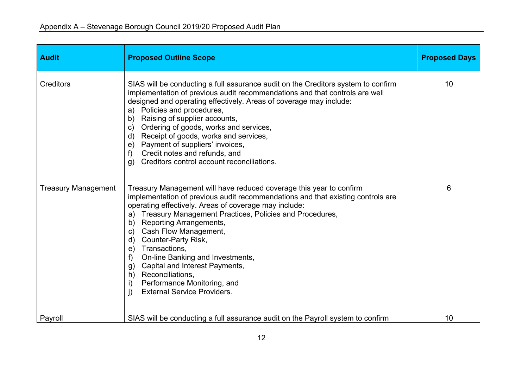| <b>Audit</b>               | <b>Proposed Outline Scope</b>                                                                                                                                                                                                                                                                                                                                                                                                                                                                                                                                                                                                     | <b>Proposed Days</b> |
|----------------------------|-----------------------------------------------------------------------------------------------------------------------------------------------------------------------------------------------------------------------------------------------------------------------------------------------------------------------------------------------------------------------------------------------------------------------------------------------------------------------------------------------------------------------------------------------------------------------------------------------------------------------------------|----------------------|
| <b>Creditors</b>           | SIAS will be conducting a full assurance audit on the Creditors system to confirm<br>implementation of previous audit recommendations and that controls are well<br>designed and operating effectively. Areas of coverage may include:<br>a) Policies and procedures,<br>b) Raising of supplier accounts,<br>Ordering of goods, works and services,<br>$\mathsf{C}$ )<br>d) Receipt of goods, works and services,<br>e) Payment of suppliers' invoices,<br>Credit notes and refunds, and<br>$f$ )<br>Creditors control account reconciliations.<br>g)                                                                             | 10                   |
| <b>Treasury Management</b> | Treasury Management will have reduced coverage this year to confirm<br>implementation of previous audit recommendations and that existing controls are<br>operating effectively. Areas of coverage may include:<br>Treasury Management Practices, Policies and Procedures,<br>a)<br>Reporting Arrangements,<br>b)<br>Cash Flow Management,<br>$\mathsf{C}$ )<br>Counter-Party Risk,<br>d)<br>Transactions,<br>e)<br>On-line Banking and Investments,<br>$f$ )<br>Capital and Interest Payments,<br>g)<br>h) Reconciliations,<br>Performance Monitoring, and<br>$\mathsf{i}$<br><b>External Service Providers.</b><br>$\mathbf{i}$ | 6                    |
| Payroll                    | SIAS will be conducting a full assurance audit on the Payroll system to confirm                                                                                                                                                                                                                                                                                                                                                                                                                                                                                                                                                   | 10                   |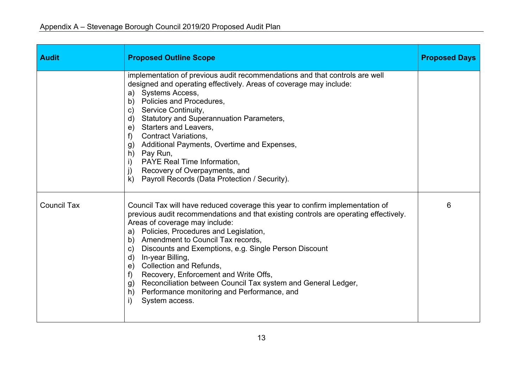| <b>Audit</b>       | <b>Proposed Outline Scope</b>                                                                                                                                                                                                                                                                                                                                                                                                                                                                                                                                                                                             | <b>Proposed Days</b> |
|--------------------|---------------------------------------------------------------------------------------------------------------------------------------------------------------------------------------------------------------------------------------------------------------------------------------------------------------------------------------------------------------------------------------------------------------------------------------------------------------------------------------------------------------------------------------------------------------------------------------------------------------------------|----------------------|
|                    | implementation of previous audit recommendations and that controls are well<br>designed and operating effectively. Areas of coverage may include:<br>a) Systems Access,<br>b) Policies and Procedures,<br>c) Service Continuity,<br>d) Statutory and Superannuation Parameters,<br>e) Starters and Leavers,<br>f) Contract Variations,<br>g) Additional Payments, Overtime and Expenses,<br>h) Pay Run,<br>i) PAYE Real Time Information,<br>j) Recovery of Overpayments, and<br>k) Payroll Records (Data Protection / Security).                                                                                         |                      |
| <b>Council Tax</b> | Council Tax will have reduced coverage this year to confirm implementation of<br>previous audit recommendations and that existing controls are operating effectively.<br>Areas of coverage may include:<br>a) Policies, Procedures and Legislation,<br>b) Amendment to Council Tax records,<br>c) Discounts and Exemptions, e.g. Single Person Discount<br>d) In-year Billing,<br>e) Collection and Refunds,<br>Recovery, Enforcement and Write Offs,<br>$f$ )<br>Reconciliation between Council Tax system and General Ledger,<br>g)<br>h) Performance monitoring and Performance, and<br>System access.<br>$\mathbf{i}$ | 6                    |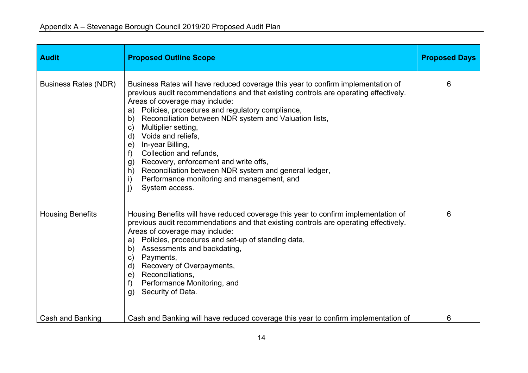| <b>Audit</b>                | <b>Proposed Outline Scope</b>                                                                                                                                                                                                                                                                                                                                                                                                                                                                                                                                                                                                                                  | <b>Proposed Days</b> |
|-----------------------------|----------------------------------------------------------------------------------------------------------------------------------------------------------------------------------------------------------------------------------------------------------------------------------------------------------------------------------------------------------------------------------------------------------------------------------------------------------------------------------------------------------------------------------------------------------------------------------------------------------------------------------------------------------------|----------------------|
| <b>Business Rates (NDR)</b> | Business Rates will have reduced coverage this year to confirm implementation of<br>previous audit recommendations and that existing controls are operating effectively.<br>Areas of coverage may include:<br>a) Policies, procedures and regulatory compliance,<br>Reconciliation between NDR system and Valuation lists,<br>b)<br>Multiplier setting,<br>$\mathsf{C}$ )<br>d) Voids and reliefs,<br>e) In-year Billing,<br>Collection and refunds,<br>$f$ )<br>Recovery, enforcement and write offs,<br>g)<br>h) Reconciliation between NDR system and general ledger,<br>Performance monitoring and management, and<br>i)<br>$\mathbf{j}$<br>System access. | 6                    |
| <b>Housing Benefits</b>     | Housing Benefits will have reduced coverage this year to confirm implementation of<br>previous audit recommendations and that existing controls are operating effectively.<br>Areas of coverage may include:<br>Policies, procedures and set-up of standing data,<br>a)<br>b) Assessments and backdating,<br>Payments,<br>$\mathsf{C}$ )<br>d) Recovery of Overpayments,<br>e) Reconciliations,<br>Performance Monitoring, and<br>$f$ )<br>Security of Data.<br>g)                                                                                                                                                                                             | 6                    |
| Cash and Banking            | Cash and Banking will have reduced coverage this year to confirm implementation of                                                                                                                                                                                                                                                                                                                                                                                                                                                                                                                                                                             | 6                    |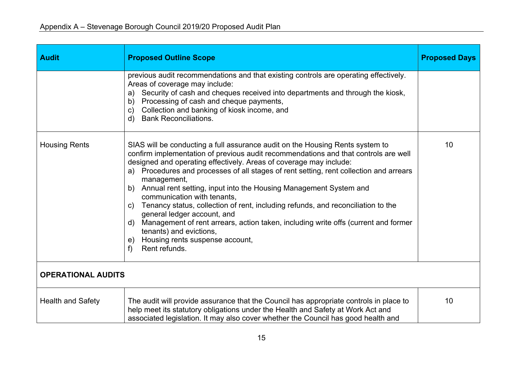| <b>Audit</b>              | <b>Proposed Outline Scope</b>                                                                                                                                                                                                                                                                                                                                                                                                                                                                                                                                                                                                                                                                                                                                             | <b>Proposed Days</b> |
|---------------------------|---------------------------------------------------------------------------------------------------------------------------------------------------------------------------------------------------------------------------------------------------------------------------------------------------------------------------------------------------------------------------------------------------------------------------------------------------------------------------------------------------------------------------------------------------------------------------------------------------------------------------------------------------------------------------------------------------------------------------------------------------------------------------|----------------------|
|                           | previous audit recommendations and that existing controls are operating effectively.<br>Areas of coverage may include:<br>Security of cash and cheques received into departments and through the kiosk,<br>a)<br>Processing of cash and cheque payments,<br>b)<br>Collection and banking of kiosk income, and<br>$\mathsf{C}$ )<br><b>Bank Reconciliations.</b><br>$\mathsf{d}$                                                                                                                                                                                                                                                                                                                                                                                           |                      |
| <b>Housing Rents</b>      | SIAS will be conducting a full assurance audit on the Housing Rents system to<br>confirm implementation of previous audit recommendations and that controls are well<br>designed and operating effectively. Areas of coverage may include:<br>a) Procedures and processes of all stages of rent setting, rent collection and arrears<br>management,<br>b) Annual rent setting, input into the Housing Management System and<br>communication with tenants,<br>Tenancy status, collection of rent, including refunds, and reconciliation to the<br>C)<br>general ledger account, and<br>Management of rent arrears, action taken, including write offs (current and former<br>d)<br>tenants) and evictions,<br>Housing rents suspense account,<br>e)<br>Rent refunds.<br>f | 10                   |
| <b>OPERATIONAL AUDITS</b> |                                                                                                                                                                                                                                                                                                                                                                                                                                                                                                                                                                                                                                                                                                                                                                           |                      |
| <b>Health and Safety</b>  | The audit will provide assurance that the Council has appropriate controls in place to<br>help meet its statutory obligations under the Health and Safety at Work Act and<br>associated legislation. It may also cover whether the Council has good health and                                                                                                                                                                                                                                                                                                                                                                                                                                                                                                            | 10                   |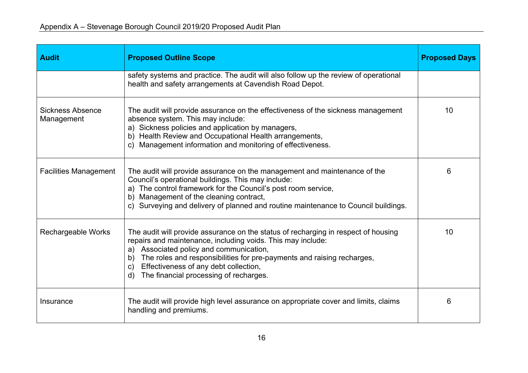| <b>Audit</b>                          | <b>Proposed Outline Scope</b>                                                                                                                                                                                                                                                                                                                                                                     | <b>Proposed Days</b> |
|---------------------------------------|---------------------------------------------------------------------------------------------------------------------------------------------------------------------------------------------------------------------------------------------------------------------------------------------------------------------------------------------------------------------------------------------------|----------------------|
|                                       | safety systems and practice. The audit will also follow up the review of operational<br>health and safety arrangements at Cavendish Road Depot.                                                                                                                                                                                                                                                   |                      |
| <b>Sickness Absence</b><br>Management | The audit will provide assurance on the effectiveness of the sickness management<br>absence system. This may include:<br>a) Sickness policies and application by managers,<br>b) Health Review and Occupational Health arrangements,<br>c) Management information and monitoring of effectiveness.                                                                                                | 10                   |
| <b>Facilities Management</b>          | The audit will provide assurance on the management and maintenance of the<br>Council's operational buildings. This may include:<br>a) The control framework for the Council's post room service,<br>b) Management of the cleaning contract,<br>c) Surveying and delivery of planned and routine maintenance to Council buildings.                                                                 | 6                    |
| Rechargeable Works                    | The audit will provide assurance on the status of recharging in respect of housing<br>repairs and maintenance, including voids. This may include:<br>a) Associated policy and communication,<br>The roles and responsibilities for pre-payments and raising recharges,<br>b)<br>Effectiveness of any debt collection,<br>$\mathsf{C}$ )<br>The financial processing of recharges.<br>$\mathsf{d}$ | 10                   |
| Insurance                             | The audit will provide high level assurance on appropriate cover and limits, claims<br>handling and premiums.                                                                                                                                                                                                                                                                                     | 6                    |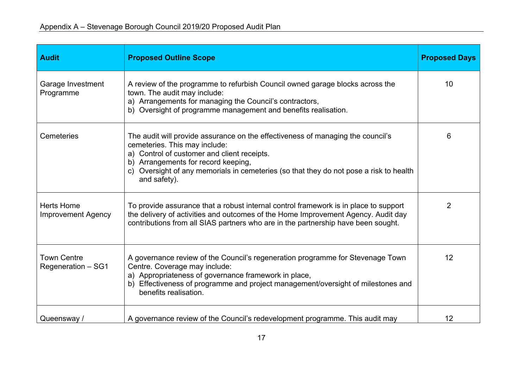| <b>Audit</b>                                   | <b>Proposed Outline Scope</b>                                                                                                                                                                                                                                                                                    | <b>Proposed Days</b> |
|------------------------------------------------|------------------------------------------------------------------------------------------------------------------------------------------------------------------------------------------------------------------------------------------------------------------------------------------------------------------|----------------------|
| Garage Investment<br>Programme                 | A review of the programme to refurbish Council owned garage blocks across the<br>town. The audit may include:<br>a) Arrangements for managing the Council's contractors,<br>b) Oversight of programme management and benefits realisation.                                                                       | 10                   |
| Cemeteries                                     | The audit will provide assurance on the effectiveness of managing the council's<br>cemeteries. This may include:<br>a) Control of customer and client receipts.<br>b) Arrangements for record keeping,<br>c) Oversight of any memorials in cemeteries (so that they do not pose a risk to health<br>and safety). | 6                    |
| <b>Herts Home</b><br><b>Improvement Agency</b> | To provide assurance that a robust internal control framework is in place to support<br>the delivery of activities and outcomes of the Home Improvement Agency. Audit day<br>contributions from all SIAS partners who are in the partnership have been sought.                                                   | $\overline{2}$       |
| <b>Town Centre</b><br>Regeneration - SG1       | A governance review of the Council's regeneration programme for Stevenage Town<br>Centre. Coverage may include:<br>a) Appropriateness of governance framework in place,<br>b) Effectiveness of programme and project management/oversight of milestones and<br>benefits realisation.                             | 12                   |
| Queensway /                                    | A governance review of the Council's redevelopment programme. This audit may                                                                                                                                                                                                                                     | 12                   |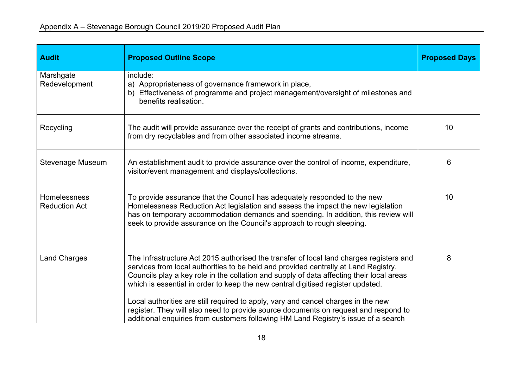| <b>Audit</b>                         | <b>Proposed Outline Scope</b>                                                                                                                                                                                                                                                                                                                                                                                                                      | <b>Proposed Days</b> |
|--------------------------------------|----------------------------------------------------------------------------------------------------------------------------------------------------------------------------------------------------------------------------------------------------------------------------------------------------------------------------------------------------------------------------------------------------------------------------------------------------|----------------------|
| Marshgate<br>Redevelopment           | include:<br>a) Appropriateness of governance framework in place,<br>b) Effectiveness of programme and project management/oversight of milestones and<br>benefits realisation.                                                                                                                                                                                                                                                                      |                      |
| Recycling                            | The audit will provide assurance over the receipt of grants and contributions, income<br>from dry recyclables and from other associated income streams.                                                                                                                                                                                                                                                                                            | 10                   |
| Stevenage Museum                     | An establishment audit to provide assurance over the control of income, expenditure,<br>visitor/event management and displays/collections.                                                                                                                                                                                                                                                                                                         | 6                    |
| Homelessness<br><b>Reduction Act</b> | To provide assurance that the Council has adequately responded to the new<br>Homelessness Reduction Act legislation and assess the impact the new legislation<br>has on temporary accommodation demands and spending. In addition, this review will<br>seek to provide assurance on the Council's approach to rough sleeping.                                                                                                                      | 10                   |
| <b>Land Charges</b>                  | The Infrastructure Act 2015 authorised the transfer of local land charges registers and<br>services from local authorities to be held and provided centrally at Land Registry.<br>Councils play a key role in the collation and supply of data affecting their local areas<br>which is essential in order to keep the new central digitised register updated.<br>Local authorities are still required to apply, vary and cancel charges in the new | 8                    |
|                                      | register. They will also need to provide source documents on request and respond to<br>additional enquiries from customers following HM Land Registry's issue of a search                                                                                                                                                                                                                                                                          |                      |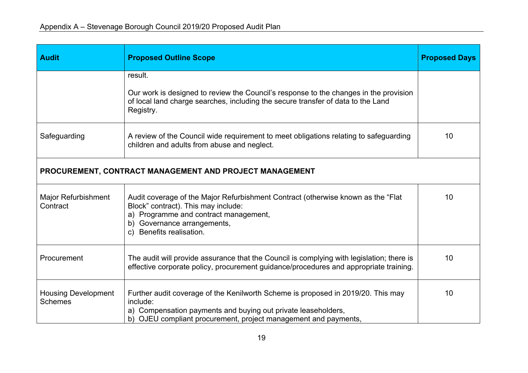| <b>Audit</b>                                 | <b>Proposed Outline Scope</b>                                                                                                                                                                                                    | <b>Proposed Days</b> |
|----------------------------------------------|----------------------------------------------------------------------------------------------------------------------------------------------------------------------------------------------------------------------------------|----------------------|
|                                              | result.                                                                                                                                                                                                                          |                      |
|                                              | Our work is designed to review the Council's response to the changes in the provision<br>of local land charge searches, including the secure transfer of data to the Land<br>Registry.                                           |                      |
| Safeguarding                                 | A review of the Council wide requirement to meet obligations relating to safeguarding<br>children and adults from abuse and neglect.                                                                                             | 10                   |
|                                              | PROCUREMENT, CONTRACT MANAGEMENT AND PROJECT MANAGEMENT                                                                                                                                                                          |                      |
| <b>Major Refurbishment</b><br>Contract       | Audit coverage of the Major Refurbishment Contract (otherwise known as the "Flat"<br>Block" contract). This may include:<br>a) Programme and contract management,<br>b) Governance arrangements,<br>c) Benefits realisation.     | 10                   |
| Procurement                                  | The audit will provide assurance that the Council is complying with legislation; there is<br>effective corporate policy, procurement guidance/procedures and appropriate training.                                               | 10                   |
| <b>Housing Development</b><br><b>Schemes</b> | Further audit coverage of the Kenilworth Scheme is proposed in 2019/20. This may<br>include:<br>a) Compensation payments and buying out private leaseholders,<br>b) OJEU compliant procurement, project management and payments, | 10                   |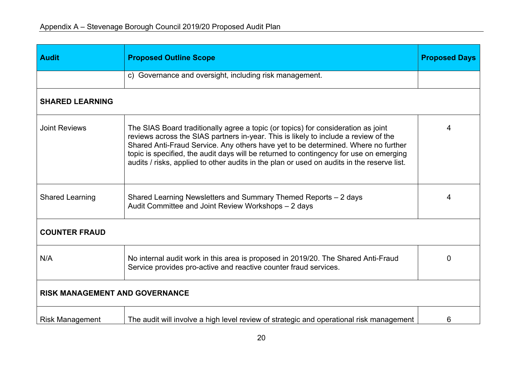| <b>Audit</b>                          | <b>Proposed Outline Scope</b>                                                                                                                                                                                                                                                                                                                                                                                                                         | <b>Proposed Days</b> |
|---------------------------------------|-------------------------------------------------------------------------------------------------------------------------------------------------------------------------------------------------------------------------------------------------------------------------------------------------------------------------------------------------------------------------------------------------------------------------------------------------------|----------------------|
|                                       | c) Governance and oversight, including risk management.                                                                                                                                                                                                                                                                                                                                                                                               |                      |
| <b>SHARED LEARNING</b>                |                                                                                                                                                                                                                                                                                                                                                                                                                                                       |                      |
| <b>Joint Reviews</b>                  | The SIAS Board traditionally agree a topic (or topics) for consideration as joint<br>reviews across the SIAS partners in-year. This is likely to include a review of the<br>Shared Anti-Fraud Service. Any others have yet to be determined. Where no further<br>topic is specified, the audit days will be returned to contingency for use on emerging<br>audits / risks, applied to other audits in the plan or used on audits in the reserve list. | 4                    |
| <b>Shared Learning</b>                | Shared Learning Newsletters and Summary Themed Reports - 2 days<br>Audit Committee and Joint Review Workshops - 2 days                                                                                                                                                                                                                                                                                                                                | 4                    |
| <b>COUNTER FRAUD</b>                  |                                                                                                                                                                                                                                                                                                                                                                                                                                                       |                      |
| N/A                                   | No internal audit work in this area is proposed in 2019/20. The Shared Anti-Fraud<br>Service provides pro-active and reactive counter fraud services.                                                                                                                                                                                                                                                                                                 |                      |
| <b>RISK MANAGEMENT AND GOVERNANCE</b> |                                                                                                                                                                                                                                                                                                                                                                                                                                                       |                      |
| <b>Risk Management</b>                | The audit will involve a high level review of strategic and operational risk management                                                                                                                                                                                                                                                                                                                                                               | 6                    |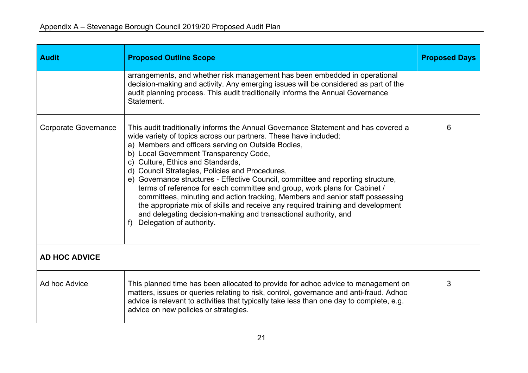| <b>Audit</b>                | <b>Proposed Outline Scope</b>                                                                                                                                                                                                                                                                                                                                                                                                                                                                                                                                                                                                                                                                                                                                                         | <b>Proposed Days</b> |  |
|-----------------------------|---------------------------------------------------------------------------------------------------------------------------------------------------------------------------------------------------------------------------------------------------------------------------------------------------------------------------------------------------------------------------------------------------------------------------------------------------------------------------------------------------------------------------------------------------------------------------------------------------------------------------------------------------------------------------------------------------------------------------------------------------------------------------------------|----------------------|--|
|                             | arrangements, and whether risk management has been embedded in operational<br>decision-making and activity. Any emerging issues will be considered as part of the<br>audit planning process. This audit traditionally informs the Annual Governance<br>Statement.                                                                                                                                                                                                                                                                                                                                                                                                                                                                                                                     |                      |  |
| <b>Corporate Governance</b> | This audit traditionally informs the Annual Governance Statement and has covered a<br>wide variety of topics across our partners. These have included:<br>a) Members and officers serving on Outside Bodies,<br>b) Local Government Transparency Code,<br>c) Culture, Ethics and Standards,<br>d) Council Strategies, Policies and Procedures,<br>e) Governance structures - Effective Council, committee and reporting structure,<br>terms of reference for each committee and group, work plans for Cabinet /<br>committees, minuting and action tracking, Members and senior staff possessing<br>the appropriate mix of skills and receive any required training and development<br>and delegating decision-making and transactional authority, and<br>f) Delegation of authority. |                      |  |
| <b>AD HOC ADVICE</b>        |                                                                                                                                                                                                                                                                                                                                                                                                                                                                                                                                                                                                                                                                                                                                                                                       |                      |  |
| Ad hoc Advice               | This planned time has been allocated to provide for adhoc advice to management on<br>matters, issues or queries relating to risk, control, governance and anti-fraud. Adhoc<br>advice is relevant to activities that typically take less than one day to complete, e.g.<br>advice on new policies or strategies.                                                                                                                                                                                                                                                                                                                                                                                                                                                                      | 3                    |  |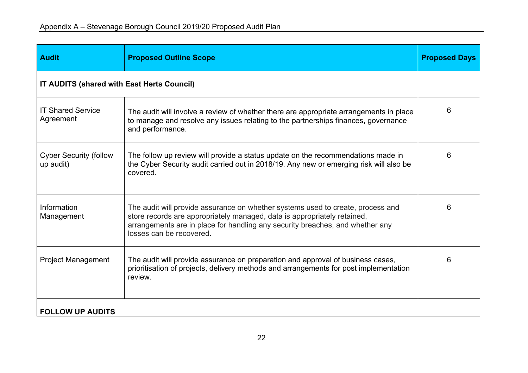| <b>Audit</b>                               | <b>Proposed Outline Scope</b>                                                                                                                                                                                                                                            | <b>Proposed Days</b> |
|--------------------------------------------|--------------------------------------------------------------------------------------------------------------------------------------------------------------------------------------------------------------------------------------------------------------------------|----------------------|
| IT AUDITS (shared with East Herts Council) |                                                                                                                                                                                                                                                                          |                      |
| <b>IT Shared Service</b><br>Agreement      | The audit will involve a review of whether there are appropriate arrangements in place<br>to manage and resolve any issues relating to the partnerships finances, governance<br>and performance.                                                                         | 6                    |
| <b>Cyber Security (follow</b><br>up audit) | The follow up review will provide a status update on the recommendations made in<br>the Cyber Security audit carried out in 2018/19. Any new or emerging risk will also be<br>covered.                                                                                   | 6                    |
| Information<br>Management                  | The audit will provide assurance on whether systems used to create, process and<br>store records are appropriately managed, data is appropriately retained,<br>arrangements are in place for handling any security breaches, and whether any<br>losses can be recovered. | 6                    |
| <b>Project Management</b>                  | The audit will provide assurance on preparation and approval of business cases,<br>prioritisation of projects, delivery methods and arrangements for post implementation<br>review.                                                                                      | 6                    |
| <b>FOLLOW UP AUDITS</b>                    |                                                                                                                                                                                                                                                                          |                      |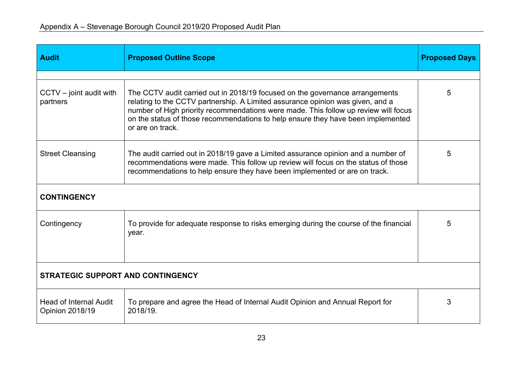| <b>Audit</b>                                            | <b>Proposed Outline Scope</b>                                                                                                                                                                                                                                                                                                                                 | <b>Proposed Days</b> |  |  |
|---------------------------------------------------------|---------------------------------------------------------------------------------------------------------------------------------------------------------------------------------------------------------------------------------------------------------------------------------------------------------------------------------------------------------------|----------------------|--|--|
|                                                         |                                                                                                                                                                                                                                                                                                                                                               |                      |  |  |
| $CCTV - joint$ audit with<br>partners                   | The CCTV audit carried out in 2018/19 focused on the governance arrangements<br>relating to the CCTV partnership. A Limited assurance opinion was given, and a<br>number of High priority recommendations were made. This follow up review will focus<br>on the status of those recommendations to help ensure they have been implemented<br>or are on track. | 5                    |  |  |
| <b>Street Cleansing</b>                                 | The audit carried out in 2018/19 gave a Limited assurance opinion and a number of<br>recommendations were made. This follow up review will focus on the status of those<br>recommendations to help ensure they have been implemented or are on track.                                                                                                         |                      |  |  |
| <b>CONTINGENCY</b>                                      |                                                                                                                                                                                                                                                                                                                                                               |                      |  |  |
| Contingency                                             | To provide for adequate response to risks emerging during the course of the financial<br>year.                                                                                                                                                                                                                                                                | 5                    |  |  |
| <b>STRATEGIC SUPPORT AND CONTINGENCY</b>                |                                                                                                                                                                                                                                                                                                                                                               |                      |  |  |
| <b>Head of Internal Audit</b><br><b>Opinion 2018/19</b> | To prepare and agree the Head of Internal Audit Opinion and Annual Report for<br>2018/19.                                                                                                                                                                                                                                                                     | 3                    |  |  |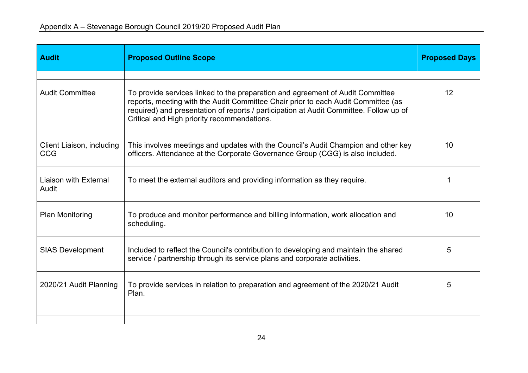| <b>Audit</b>                            | <b>Proposed Outline Scope</b>                                                                                                                                                                                                                                                                                | <b>Proposed Days</b> |
|-----------------------------------------|--------------------------------------------------------------------------------------------------------------------------------------------------------------------------------------------------------------------------------------------------------------------------------------------------------------|----------------------|
|                                         |                                                                                                                                                                                                                                                                                                              |                      |
| <b>Audit Committee</b>                  | To provide services linked to the preparation and agreement of Audit Committee<br>reports, meeting with the Audit Committee Chair prior to each Audit Committee (as<br>required) and presentation of reports / participation at Audit Committee. Follow up of<br>Critical and High priority recommendations. | 12                   |
| Client Liaison, including<br><b>CCG</b> | This involves meetings and updates with the Council's Audit Champion and other key<br>officers. Attendance at the Corporate Governance Group (CGG) is also included.                                                                                                                                         | 10                   |
| Liaison with External<br>Audit          | To meet the external auditors and providing information as they require.                                                                                                                                                                                                                                     |                      |
| <b>Plan Monitoring</b>                  | To produce and monitor performance and billing information, work allocation and<br>scheduling.                                                                                                                                                                                                               | 10                   |
| <b>SIAS Development</b>                 | Included to reflect the Council's contribution to developing and maintain the shared<br>service / partnership through its service plans and corporate activities.                                                                                                                                            | 5                    |
| 2020/21 Audit Planning                  | To provide services in relation to preparation and agreement of the 2020/21 Audit<br>Plan.                                                                                                                                                                                                                   | 5                    |
|                                         |                                                                                                                                                                                                                                                                                                              |                      |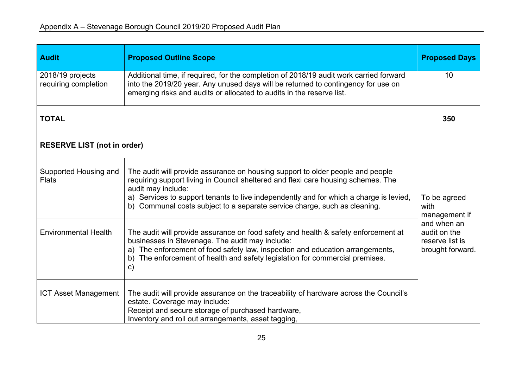| <b>Audit</b>                             | <b>Proposed Outline Scope</b>                                                                                                                                                                                                                                                                                                                                    | <b>Proposed Days</b>                                               |  |  |
|------------------------------------------|------------------------------------------------------------------------------------------------------------------------------------------------------------------------------------------------------------------------------------------------------------------------------------------------------------------------------------------------------------------|--------------------------------------------------------------------|--|--|
| 2018/19 projects<br>requiring completion | Additional time, if required, for the completion of 2018/19 audit work carried forward<br>into the 2019/20 year. Any unused days will be returned to contingency for use on<br>emerging risks and audits or allocated to audits in the reserve list.                                                                                                             |                                                                    |  |  |
| <b>TOTAL</b>                             |                                                                                                                                                                                                                                                                                                                                                                  | 350                                                                |  |  |
| <b>RESERVE LIST (not in order)</b>       |                                                                                                                                                                                                                                                                                                                                                                  |                                                                    |  |  |
| Supported Housing and<br><b>Flats</b>    | The audit will provide assurance on housing support to older people and people<br>requiring support living in Council sheltered and flexi care housing schemes. The<br>audit may include:<br>a) Services to support tenants to live independently and for which a charge is levied,<br>b) Communal costs subject to a separate service charge, such as cleaning. | To be agreed<br>with<br>management if                              |  |  |
| <b>Environmental Health</b>              | The audit will provide assurance on food safety and health & safety enforcement at<br>businesses in Stevenage. The audit may include:<br>a) The enforcement of food safety law, inspection and education arrangements,<br>b) The enforcement of health and safety legislation for commercial premises.<br>$\mathsf{C}$                                           | and when an<br>audit on the<br>reserve list is<br>brought forward. |  |  |
| <b>ICT Asset Management</b>              | The audit will provide assurance on the traceability of hardware across the Council's<br>estate. Coverage may include:<br>Receipt and secure storage of purchased hardware,<br>Inventory and roll out arrangements, asset tagging,                                                                                                                               |                                                                    |  |  |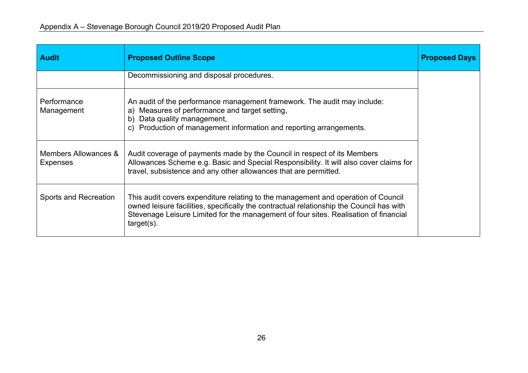| <b>Audit</b>                     | <b>Proposed Outline Scope</b>                                                                                                                                                                                                                                                          | <b>Proposed Days</b> |
|----------------------------------|----------------------------------------------------------------------------------------------------------------------------------------------------------------------------------------------------------------------------------------------------------------------------------------|----------------------|
|                                  | Decommissioning and disposal procedures.                                                                                                                                                                                                                                               |                      |
| Performance<br>Management        | An audit of the performance management framework. The audit may include:<br>a) Measures of performance and target setting,<br>b) Data quality management,<br>c) Production of management information and reporting arrangements.                                                       |                      |
| Members Allowances &<br>Expenses | Audit coverage of payments made by the Council in respect of its Members<br>Allowances Scheme e.g. Basic and Special Responsibility. It will also cover claims for<br>travel, subsistence and any other allowances that are permitted.                                                 |                      |
| Sports and Recreation            | This audit covers expenditure relating to the management and operation of Council<br>owned leisure facilities, specifically the contractual relationship the Council has with<br>Stevenage Leisure Limited for the management of four sites. Realisation of financial<br>$target(s)$ . |                      |